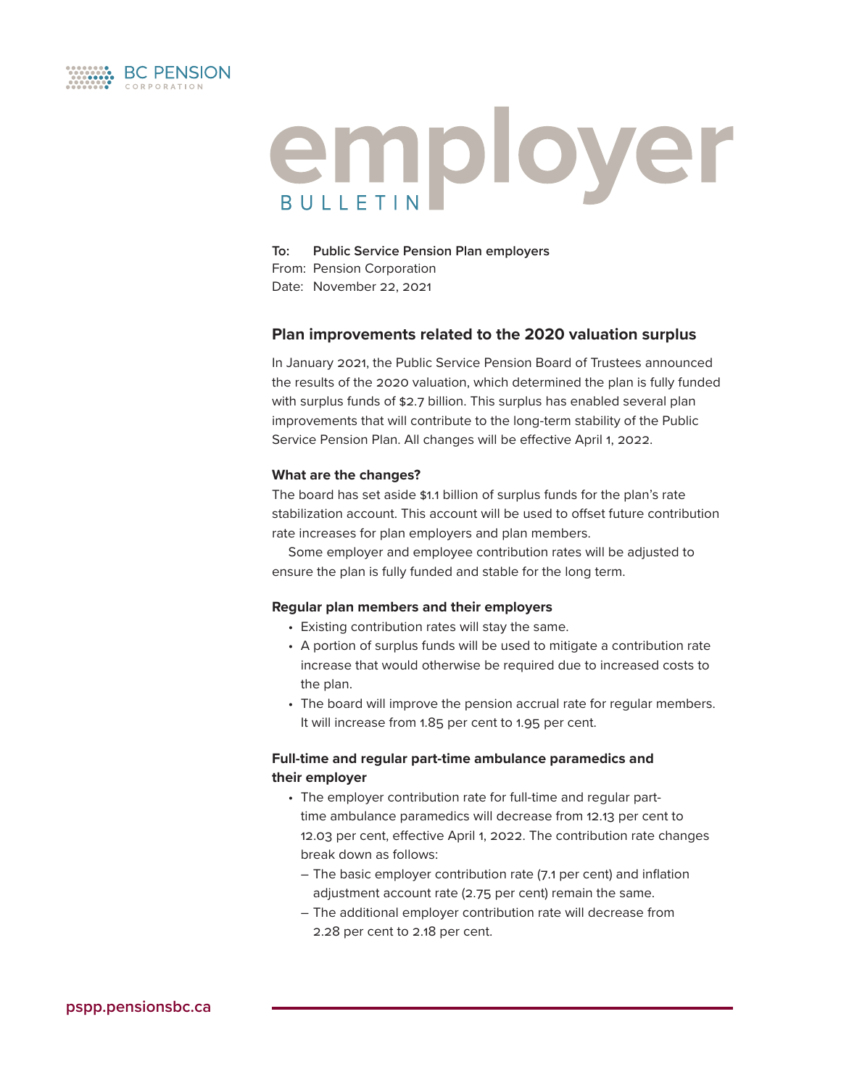

# employer **BUILETIN**

**To: Public Service Pension Plan employers**  From: Pension Corporation Date: November 22, 2021

# **Plan improvements related to the 2020 valuation surplus**

In January 2021, the Public Service Pension Board of Trustees announced the results of the 2020 valuation, which determined the plan is fully funded with surplus funds of \$2.7 billion. This surplus has enabled several plan improvements that will contribute to the long-term stability of the Public Service Pension Plan. All changes will be effective April 1, 2022.

## **What are the changes?**

The board has set aside \$1.1 billion of surplus funds for the plan's rate stabilization account. This account will be used to offset future contribution rate increases for plan employers and plan members.

Some employer and employee contribution rates will be adjusted to ensure the plan is fully funded and stable for the long term.

## **Regular plan members and their employers**

- Existing contribution rates will stay the same.
- A portion of surplus funds will be used to mitigate a contribution rate increase that would otherwise be required due to increased costs to the plan.
- The board will improve the pension accrual rate for regular members. It will increase from 1.85 per cent to 1.95 per cent.

# **Full-time and regular part-time ambulance paramedics and their employer**

- The employer contribution rate for full-time and regular parttime ambulance paramedics will decrease from 12.13 per cent to 12.03 per cent, effective April 1, 2022. The contribution rate changes break down as follows:
	- The basic employer contribution rate (7.1 per cent) and inflation adjustment account rate (2.75 per cent) remain the same.
	- The additional employer contribution rate will decrease from 2.28 per cent to 2.18 per cent.